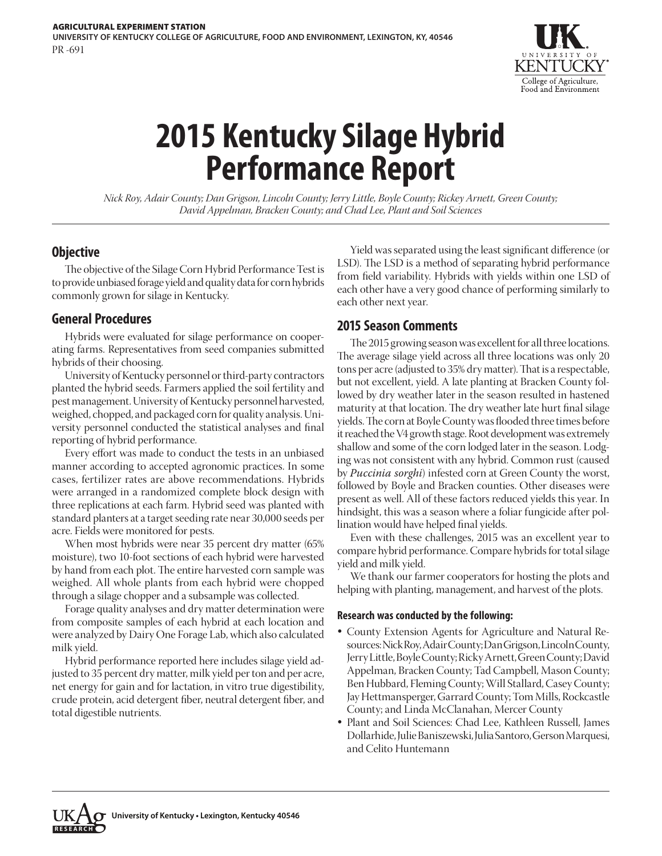

# **2015 Kentucky Silage Hybrid Performance Report**

*Nick Roy, Adair County; Dan Grigson, Lincoln County; Jerry Little, Boyle County; Rickey Arnett, Green County; David Appelman, Bracken County; and Chad Lee, Plant and Soil Sciences*

# **Objective**

The objective of the Silage Corn Hybrid Performance Test is to provide unbiased forage yield and quality data for corn hybrids commonly grown for silage in Kentucky.

## **General Procedures**

Hybrids were evaluated for silage performance on cooperating farms. Representatives from seed companies submitted hybrids of their choosing.

University of Kentucky personnel or third-party contractors planted the hybrid seeds. Farmers applied the soil fertility and pest management. University of Kentucky personnel harvested, weighed, chopped, and packaged corn for quality analysis. University personnel conducted the statistical analyses and final reporting of hybrid performance.

Every effort was made to conduct the tests in an unbiased manner according to accepted agronomic practices. In some cases, fertilizer rates are above recommendations. Hybrids were arranged in a randomized complete block design with three replications at each farm. Hybrid seed was planted with standard planters at a target seeding rate near 30,000 seeds per acre. Fields were monitored for pests.

When most hybrids were near 35 percent dry matter (65% moisture), two 10-foot sections of each hybrid were harvested by hand from each plot. The entire harvested corn sample was weighed. All whole plants from each hybrid were chopped through a silage chopper and a subsample was collected.

Forage quality analyses and dry matter determination were from composite samples of each hybrid at each location and were analyzed by Dairy One Forage Lab, which also calculated milk yield.

Hybrid performance reported here includes silage yield adjusted to 35 percent dry matter, milk yield per ton and per acre, net energy for gain and for lactation, in vitro true digestibility, crude protein, acid detergent fiber, neutral detergent fiber, and total digestible nutrients.

Yield was separated using the least significant difference (or LSD). The LSD is a method of separating hybrid performance from field variability. Hybrids with yields within one LSD of each other have a very good chance of performing similarly to each other next year.

# **2015 Season Comments**

The 2015 growing season was excellent for all three locations. The average silage yield across all three locations was only 20 tons per acre (adjusted to 35% dry matter). That is a respectable, but not excellent, yield. A late planting at Bracken County followed by dry weather later in the season resulted in hastened maturity at that location. The dry weather late hurt final silage yields. The corn at Boyle County was flooded three times before it reached the V4 growth stage. Root development was extremely shallow and some of the corn lodged later in the season. Lodging was not consistent with any hybrid. Common rust (caused by *Puccinia sorghi*) infested corn at Green County the worst, followed by Boyle and Bracken counties. Other diseases were present as well. All of these factors reduced yields this year. In hindsight, this was a season where a foliar fungicide after pollination would have helped final yields.

Even with these challenges, 2015 was an excellent year to compare hybrid performance. Compare hybrids for total silage yield and milk yield.

We thank our farmer cooperators for hosting the plots and helping with planting, management, and harvest of the plots.

## **Research was conducted by the following:**

- County Extension Agents for Agriculture and Natural Resources: Nick Roy, Adair County; Dan Grigson, Lincoln County, Jerry Little, Boyle County; Ricky Arnett, Green County; David Appelman, Bracken County; Tad Campbell, Mason County; Ben Hubbard, Fleming County; Will Stallard, Casey County; Jay Hettmansperger, Garrard County; Tom Mills, Rockcastle County; and Linda McClanahan, Mercer County
- Plant and Soil Sciences: Chad Lee, Kathleen Russell, James Dollarhide, Julie Baniszewski, Julia Santoro, Gerson Marquesi, and Celito Huntemann

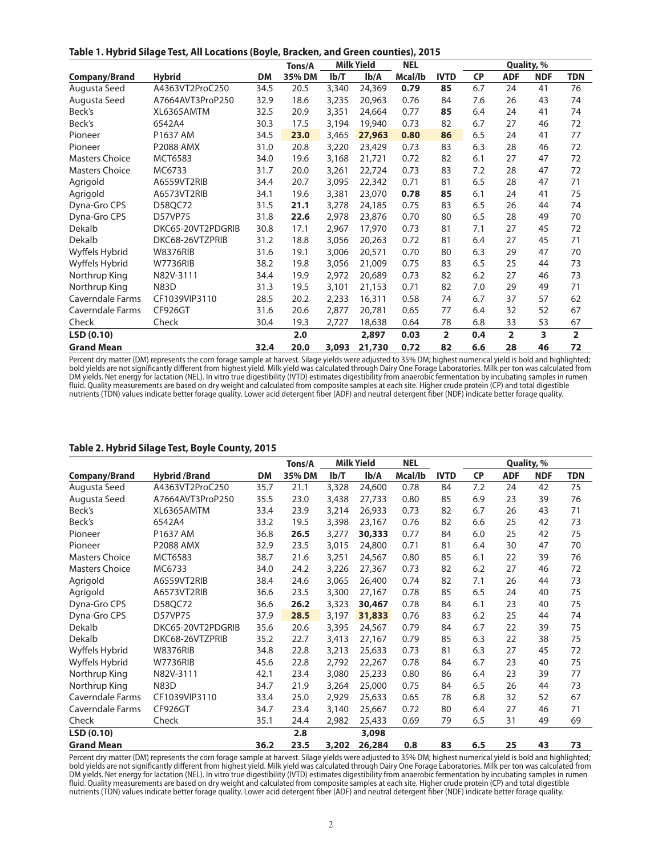**Table 1. Hybrid Silage Test, All Locations (Boyle, Bracken, and Green counties), 2015**

|                       |                   |           | Tons/A |       | <b>Milk Yield</b> | <b>NEL</b> |                |           |                | Quality, % |                |
|-----------------------|-------------------|-----------|--------|-------|-------------------|------------|----------------|-----------|----------------|------------|----------------|
| <b>Company/Brand</b>  | <b>Hybrid</b>     | <b>DM</b> | 35% DM | Ib/T  | Ib/A              | Mcal/lb    | <b>IVTD</b>    | <b>CP</b> | <b>ADF</b>     | <b>NDF</b> | <b>TDN</b>     |
| Augusta Seed          | A4363VT2ProC250   | 34.5      | 20.5   | 3,340 | 24,369            | 0.79       | 85             | 6.7       | 24             | 41         | 76             |
| Augusta Seed          | A7664AVT3ProP250  | 32.9      | 18.6   | 3,235 | 20,963            | 0.76       | 84             | 7.6       | 26             | 43         | 74             |
| Beck's                | XL6365AMTM        | 32.5      | 20.9   | 3,351 | 24,664            | 0.77       | 85             | 6.4       | 24             | 41         | 74             |
| Beck's                | 6542A4            | 30.3      | 17.5   | 3,194 | 19,940            | 0.73       | 82             | 6.7       | 27             | 46         | 72             |
| Pioneer               | P1637 AM          | 34.5      | 23.0   | 3,465 | 27,963            | 0.80       | 86             | 6.5       | 24             | 41         | 77             |
| Pioneer               | <b>P2088 AMX</b>  | 31.0      | 20.8   | 3,220 | 23,429            | 0.73       | 83             | 6.3       | 28             | 46         | 72             |
| <b>Masters Choice</b> | MCT6583           | 34.0      | 19.6   | 3,168 | 21,721            | 0.72       | 82             | 6.1       | 27             | 47         | 72             |
| <b>Masters Choice</b> | MC6733            | 31.7      | 20.0   | 3,261 | 22,724            | 0.73       | 83             | 7.2       | 28             | 47         | 72             |
| Agrigold              | A6559VT2RIB       | 34.4      | 20.7   | 3,095 | 22,342            | 0.71       | 81             | 6.5       | 28             | 47         | 71             |
| Agrigold              | A6573VT2RIB       | 34.1      | 19.6   | 3,381 | 23,070            | 0.78       | 85             | 6.1       | 24             | 41         | 75             |
| Dyna-Gro CPS          | D58QC72           | 31.5      | 21.1   | 3,278 | 24,185            | 0.75       | 83             | 6.5       | 26             | 44         | 74             |
| Dyna-Gro CPS          | <b>D57VP75</b>    | 31.8      | 22.6   | 2,978 | 23,876            | 0.70       | 80             | 6.5       | 28             | 49         | 70             |
| Dekalb                | DKC65-20VT2PDGRIB | 30.8      | 17.1   | 2,967 | 17,970            | 0.73       | 81             | 7.1       | 27             | 45         | 72             |
| Dekalb                | DKC68-26VTZPRIB   | 31.2      | 18.8   | 3,056 | 20,263            | 0.72       | 81             | 6.4       | 27             | 45         | 71             |
| Wyffels Hybrid        | <b>W8376RIB</b>   | 31.6      | 19.1   | 3,006 | 20,571            | 0.70       | 80             | 6.3       | 29             | 47         | 70             |
| Wyffels Hybrid        | <b>W7736RIB</b>   | 38.2      | 19.8   | 3,056 | 21,009            | 0.75       | 83             | 6.5       | 25             | 44         | 73             |
| Northrup King         | N82V-3111         | 34.4      | 19.9   | 2,972 | 20,689            | 0.73       | 82             | 6.2       | 27             | 46         | 73             |
| Northrup King         | <b>N83D</b>       | 31.3      | 19.5   | 3,101 | 21,153            | 0.71       | 82             | 7.0       | 29             | 49         | 71             |
| Caverndale Farms      | CF1039VIP3110     | 28.5      | 20.2   | 2,233 | 16,311            | 0.58       | 74             | 6.7       | 37             | 57         | 62             |
| Caverndale Farms      | CF926GT           | 31.6      | 20.6   | 2,877 | 20,781            | 0.65       | 77             | 6.4       | 32             | 52         | 67             |
| Check                 | Check             | 30.4      | 19.3   | 2,727 | 18,638            | 0.64       | 78             | 6.8       | 33             | 53         | 67             |
| LSD(0.10)             |                   |           | 2.0    |       | 2,897             | 0.03       | $\overline{2}$ | 0.4       | $\overline{2}$ | 3          | $\overline{2}$ |
| <b>Grand Mean</b>     |                   | 32.4      | 20.0   | 3,093 | 21,730            | 0.72       | 82             | 6.6       | 28             | 46         | 72             |

Percent dry matter (DM) represents the corn forage sample at harvest. Silage yields were adjusted to 35% DM; highest numerical yield is bold and highlighted; bold yields are not significantly different from highest yield. Milk yield was calculated through Dairy One Forage Laboratories. Milk per ton was calculated from DM yields. Net energy for lactation (NEL). In vitro true digestibility (IVTD) estimates digestibility from anaerobic fermentation by incubating samples in rumen fluid. Quality measurements are based on dry weight and calculated from composite samples at each site. Higher crude protein (CP) and total digestible nutrients (TDN) values indicate better forage quality. Lower acid detergent fiber (ADF) and neutral detergent fiber (NDF) indicate better forage quality.

#### **Table 2. Hybrid Silage Test, Boyle County, 2015**

|                   |                      |      | <b>Milk Yield</b><br>Tons/A |       | <b>NEL</b> |         | Quality, %  |           |            |            |            |
|-------------------|----------------------|------|-----------------------------|-------|------------|---------|-------------|-----------|------------|------------|------------|
| Company/Brand     | <b>Hybrid /Brand</b> | DM   | 35% DM                      | Ib/T  | Ib/A       | Mcal/lb | <b>IVTD</b> | <b>CP</b> | <b>ADF</b> | <b>NDF</b> | <b>TDN</b> |
| Augusta Seed      | A4363VT2ProC250      | 35.7 | 21.1                        | 3,328 | 24,600     | 0.78    | 84          | 7.2       | 24         | 42         | 75         |
| Augusta Seed      | A7664AVT3ProP250     | 35.5 | 23.0                        | 3,438 | 27,733     | 0.80    | 85          | 6.9       | 23         | 39         | 76         |
| Beck's            | XL6365AMTM           | 33.4 | 23.9                        | 3,214 | 26,933     | 0.73    | 82          | 6.7       | 26         | 43         | 71         |
| Beck's            | 6542A4               | 33.2 | 19.5                        | 3,398 | 23,167     | 0.76    | 82          | 6.6       | 25         | 42         | 73         |
| Pioneer           | P1637 AM             | 36.8 | 26.5                        | 3,277 | 30,333     | 0.77    | 84          | 6.0       | 25         | 42         | 75         |
| Pioneer           | <b>P2088 AMX</b>     | 32.9 | 23.5                        | 3,015 | 24,800     | 0.71    | 81          | 6.4       | 30         | 47         | 70         |
| Masters Choice    | MCT6583              | 38.7 | 21.6                        | 3,251 | 24,567     | 0.80    | 85          | 6.1       | 22         | 39         | 76         |
| Masters Choice    | MC6733               | 34.0 | 24.2                        | 3,226 | 27,367     | 0.73    | 82          | 6.2       | 27         | 46         | 72         |
| Agrigold          | A6559VT2RIB          | 38.4 | 24.6                        | 3,065 | 26,400     | 0.74    | 82          | 7.1       | 26         | 44         | 73         |
| Agrigold          | A6573VT2RIB          | 36.6 | 23.5                        | 3,300 | 27,167     | 0.78    | 85          | 6.5       | 24         | 40         | 75         |
| Dyna-Gro CPS      | D58QC72              | 36.6 | 26.2                        | 3,323 | 30,467     | 0.78    | 84          | 6.1       | 23         | 40         | 75         |
| Dyna-Gro CPS      | D57VP75              | 37.9 | 28.5                        | 3,197 | 31,833     | 0.76    | 83          | 6.2       | 25         | 44         | 74         |
| Dekalb            | DKC65-20VT2PDGRIB    | 35.6 | 20.6                        | 3,395 | 24,567     | 0.79    | 84          | 6.7       | 22         | 39         | 75         |
| Dekalb            | DKC68-26VTZPRIB      | 35.2 | 22.7                        | 3,413 | 27,167     | 0.79    | 85          | 6.3       | 22         | 38         | 75         |
| Wyffels Hybrid    | <b>W8376RIB</b>      | 34.8 | 22.8                        | 3,213 | 25,633     | 0.73    | 81          | 6.3       | 27         | 45         | 72         |
| Wyffels Hybrid    | <b>W7736RIB</b>      | 45.6 | 22.8                        | 2,792 | 22,267     | 0.78    | 84          | 6.7       | 23         | 40         | 75         |
| Northrup King     | N82V-3111            | 42.1 | 23.4                        | 3,080 | 25,233     | 0.80    | 86          | 6.4       | 23         | 39         | 77         |
| Northrup King     | <b>N83D</b>          | 34.7 | 21.9                        | 3,264 | 25,000     | 0.75    | 84          | 6.5       | 26         | 44         | 73         |
| Caverndale Farms  | CF1039VIP3110        | 33.4 | 25.0                        | 2,929 | 25,633     | 0.65    | 78          | 6.8       | 32         | 52         | 67         |
| Caverndale Farms  | CF926GT              | 34.7 | 23.4                        | 3,140 | 25,667     | 0.72    | 80          | 6.4       | 27         | 46         | 71         |
| Check             | Check                | 35.1 | 24.4                        | 2,982 | 25,433     | 0.69    | 79          | 6.5       | 31         | 49         | 69         |
| LSD(0.10)         |                      |      | 2.8                         |       | 3,098      |         |             |           |            |            |            |
| <b>Grand Mean</b> |                      | 36.2 | 23.5                        | 3,202 | 26,284     | 0.8     | 83          | 6.5       | 25         | 43         | 73         |

Percent dry matter (DM) represents the corn forage sample at harvest. Silage yields were adjusted to 35% DM; highest numerical yield is bold and highlighted; bold yields are not significantly different from highest yield. Milk yield was calculated through Dairy One Forage Laboratories. Milk per ton was calculated from DM yields. Net energy for lactation (NEL). In vitro true digestibility (IVTD) estimates digestibility from anaerobic fermentation by incubating samples in rumen fluid. Quality measurements are based on dry weight and calculated from composite samples at each site. Higher crude protein (CP) and total digestible nutrients (TDN) values indicate better forage quality. Lower acid detergent fiber (ADF) and neutral detergent fiber (NDF) indicate better forage quality.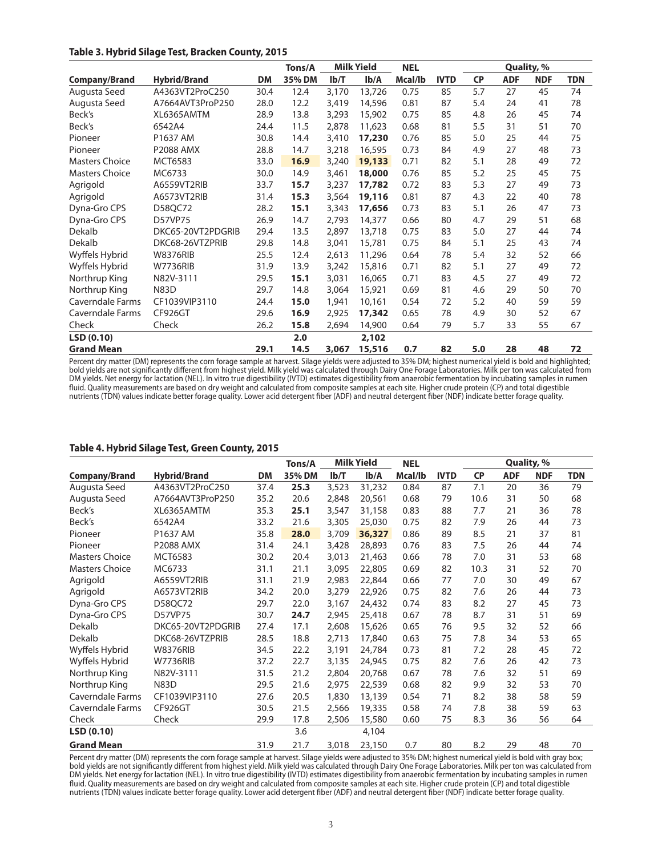### **Table 3. Hybrid Silage Test, Bracken County, 2015**

|                       | <b>Milk Yield</b><br>Tons/A |           | <b>NEL</b> |       | Quality, % |         |             |           |            |            |            |
|-----------------------|-----------------------------|-----------|------------|-------|------------|---------|-------------|-----------|------------|------------|------------|
| <b>Company/Brand</b>  | <b>Hybrid/Brand</b>         | <b>DM</b> | 35% DM     | Ib/T  | Ib/A       | Mcal/lb | <b>IVTD</b> | <b>CP</b> | <b>ADF</b> | <b>NDF</b> | <b>TDN</b> |
| Augusta Seed          | A4363VT2ProC250             | 30.4      | 12.4       | 3,170 | 13,726     | 0.75    | 85          | 5.7       | 27         | 45         | 74         |
| Augusta Seed          | A7664AVT3ProP250            | 28.0      | 12.2       | 3,419 | 14,596     | 0.81    | 87          | 5.4       | 24         | 41         | 78         |
| Beck's                | XL6365AMTM                  | 28.9      | 13.8       | 3,293 | 15,902     | 0.75    | 85          | 4.8       | 26         | 45         | 74         |
| Beck's                | 6542A4                      | 24.4      | 11.5       | 2,878 | 11,623     | 0.68    | 81          | 5.5       | 31         | 51         | 70         |
| Pioneer               | P1637 AM                    | 30.8      | 14.4       | 3,410 | 17,230     | 0.76    | 85          | 5.0       | 25         | 44         | 75         |
| Pioneer               | <b>P2088 AMX</b>            | 28.8      | 14.7       | 3,218 | 16,595     | 0.73    | 84          | 4.9       | 27         | 48         | 73         |
| <b>Masters Choice</b> | MCT6583                     | 33.0      | 16.9       | 3,240 | 19,133     | 0.71    | 82          | 5.1       | 28         | 49         | 72         |
| <b>Masters Choice</b> | MC6733                      | 30.0      | 14.9       | 3,461 | 18,000     | 0.76    | 85          | 5.2       | 25         | 45         | 75         |
| Agrigold              | A6559VT2RIB                 | 33.7      | 15.7       | 3,237 | 17,782     | 0.72    | 83          | 5.3       | 27         | 49         | 73         |
| Agrigold              | A6573VT2RIB                 | 31.4      | 15.3       | 3,564 | 19,116     | 0.81    | 87          | 4.3       | 22         | 40         | 78         |
| Dyna-Gro CPS          | D58QC72                     | 28.2      | 15.1       | 3,343 | 17,656     | 0.73    | 83          | 5.1       | 26         | 47         | 73         |
| Dyna-Gro CPS          | <b>D57VP75</b>              | 26.9      | 14.7       | 2,793 | 14,377     | 0.66    | 80          | 4.7       | 29         | 51         | 68         |
| Dekalb                | DKC65-20VT2PDGRIB           | 29.4      | 13.5       | 2,897 | 13,718     | 0.75    | 83          | 5.0       | 27         | 44         | 74         |
| Dekalb                | DKC68-26VTZPRIB             | 29.8      | 14.8       | 3,041 | 15,781     | 0.75    | 84          | 5.1       | 25         | 43         | 74         |
| Wyffels Hybrid        | <b>W8376RIB</b>             | 25.5      | 12.4       | 2,613 | 11,296     | 0.64    | 78          | 5.4       | 32         | 52         | 66         |
| Wyffels Hybrid        | <b>W7736RIB</b>             | 31.9      | 13.9       | 3,242 | 15,816     | 0.71    | 82          | 5.1       | 27         | 49         | 72         |
| Northrup King         | N82V-3111                   | 29.5      | 15.1       | 3,031 | 16,065     | 0.71    | 83          | 4.5       | 27         | 49         | 72         |
| Northrup King         | <b>N83D</b>                 | 29.7      | 14.8       | 3,064 | 15,921     | 0.69    | 81          | 4.6       | 29         | 50         | 70         |
| Caverndale Farms      | CF1039VIP3110               | 24.4      | 15.0       | 1,941 | 10,161     | 0.54    | 72          | 5.2       | 40         | 59         | 59         |
| Caverndale Farms      | CF926GT                     | 29.6      | 16.9       | 2,925 | 17,342     | 0.65    | 78          | 4.9       | 30         | 52         | 67         |
| Check                 | Check                       | 26.2      | 15.8       | 2,694 | 14,900     | 0.64    | 79          | 5.7       | 33         | 55         | 67         |
| LSD(0.10)             |                             |           | 2.0        |       | 2,102      |         |             |           |            |            |            |
| <b>Grand Mean</b>     |                             | 29.1      | 14.5       | 3,067 | 15,516     | 0.7     | 82          | 5.0       | 28         | 48         | 72         |

Percent dry matter (DM) represents the corn forage sample at harvest. Silage yields were adjusted to 35% DM; highest numerical yield is bold and highlighted; bold yields are not significantly different from highest yield. Milk yield was calculated through Dairy One Forage Laboratories. Milk per ton was calculated from DM yields. Net energy for lactation (NEL). In vitro true digestibility (IVTD) estimates digestibility from anaerobic fermentation by incubating samples in rumen fluid. Quality measurements are based on dry weight and calculated from composite samples at each site. Higher crude protein (CP) and total digestible nutrients (TDN) values indicate better forage quality. Lower acid detergent fiber (ADF) and neutral detergent fiber (NDF) indicate better forage quality.

#### **Table 4. Hybrid Silage Test, Green County, 2015**

|                       | <b>Milk Yield</b><br>Tons/A |           | <b>NEL</b> |       | Quality, % |         |             |           |            |            |            |
|-----------------------|-----------------------------|-----------|------------|-------|------------|---------|-------------|-----------|------------|------------|------------|
| Company/Brand         | <b>Hybrid/Brand</b>         | <b>DM</b> | 35% DM     | Ib/T  | Ib/A       | Mcal/lb | <b>IVTD</b> | <b>CP</b> | <b>ADF</b> | <b>NDF</b> | <b>TDN</b> |
| Augusta Seed          | A4363VT2ProC250             | 37.4      | 25.3       | 3,523 | 31,232     | 0.84    | 87          | 7.1       | 20         | 36         | 79         |
| Augusta Seed          | A7664AVT3ProP250            | 35.2      | 20.6       | 2,848 | 20,561     | 0.68    | 79          | 10.6      | 31         | 50         | 68         |
| Beck's                | XL6365AMTM                  | 35.3      | 25.1       | 3,547 | 31,158     | 0.83    | 88          | 7.7       | 21         | 36         | 78         |
| Beck's                | 6542A4                      | 33.2      | 21.6       | 3,305 | 25,030     | 0.75    | 82          | 7.9       | 26         | 44         | 73         |
| Pioneer               | P1637 AM                    | 35.8      | 28.0       | 3,709 | 36,327     | 0.86    | 89          | 8.5       | 21         | 37         | 81         |
| Pioneer               | <b>P2088 AMX</b>            | 31.4      | 24.1       | 3,428 | 28,893     | 0.76    | 83          | 7.5       | 26         | 44         | 74         |
| <b>Masters Choice</b> | MCT6583                     | 30.2      | 20.4       | 3,013 | 21,463     | 0.66    | 78          | 7.0       | 31         | 53         | 68         |
| <b>Masters Choice</b> | MC6733                      | 31.1      | 21.1       | 3,095 | 22,805     | 0.69    | 82          | 10.3      | 31         | 52         | 70         |
| Agrigold              | A6559VT2RIB                 | 31.1      | 21.9       | 2,983 | 22,844     | 0.66    | 77          | 7.0       | 30         | 49         | 67         |
| Agrigold              | A6573VT2RIB                 | 34.2      | 20.0       | 3,279 | 22,926     | 0.75    | 82          | 7.6       | 26         | 44         | 73         |
| Dyna-Gro CPS          | D58QC72                     | 29.7      | 22.0       | 3,167 | 24,432     | 0.74    | 83          | 8.2       | 27         | 45         | 73         |
| Dyna-Gro CPS          | D57VP75                     | 30.7      | 24.7       | 2,945 | 25,418     | 0.67    | 78          | 8.7       | 31         | 51         | 69         |
| Dekalb                | DKC65-20VT2PDGRIB           | 27.4      | 17.1       | 2,608 | 15,626     | 0.65    | 76          | 9.5       | 32         | 52         | 66         |
| Dekalb                | DKC68-26VTZPRIB             | 28.5      | 18.8       | 2,713 | 17,840     | 0.63    | 75          | 7.8       | 34         | 53         | 65         |
| Wyffels Hybrid        | <b>W8376RIB</b>             | 34.5      | 22.2       | 3,191 | 24,784     | 0.73    | 81          | 7.2       | 28         | 45         | 72         |
| Wyffels Hybrid        | <b>W7736RIB</b>             | 37.2      | 22.7       | 3,135 | 24,945     | 0.75    | 82          | 7.6       | 26         | 42         | 73         |
| Northrup King         | N82V-3111                   | 31.5      | 21.2       | 2,804 | 20,768     | 0.67    | 78          | 7.6       | 32         | 51         | 69         |
| Northrup King         | <b>N83D</b>                 | 29.5      | 21.6       | 2,975 | 22,539     | 0.68    | 82          | 9.9       | 32         | 53         | 70         |
| Caverndale Farms      | CF1039VIP3110               | 27.6      | 20.5       | 1,830 | 13,139     | 0.54    | 71          | 8.2       | 38         | 58         | 59         |
| Caverndale Farms      | CF926GT                     | 30.5      | 21.5       | 2,566 | 19,335     | 0.58    | 74          | 7.8       | 38         | 59         | 63         |
| Check                 | Check                       | 29.9      | 17.8       | 2,506 | 15,580     | 0.60    | 75          | 8.3       | 36         | 56         | 64         |
| LSD (0.10)            |                             |           | 3.6        |       | 4,104      |         |             |           |            |            |            |
| <b>Grand Mean</b>     |                             | 31.9      | 21.7       | 3,018 | 23,150     | 0.7     | 80          | 8.2       | 29         | 48         | 70         |

Percent dry matter (DM) represents the corn forage sample at harvest. Silage yields were adjusted to 35% DM; highest numerical yield is bold with gray box; bold yields are not significantly different from highest yield. Milk yield was calculated through Dairy One Forage Laboratories. Milk per ton was calculated from DM yields. Net energy for lactation (NEL). In vitro true digestibility (IVTD) estimates digestibility from anaerobic fermentation by incubating samples in rumen fluid. Quality measurements are based on dry weight and calculated from composite samples at each site. Higher crude protein (CP) and total digestible nutrients (TDN) values indicate better forage quality. Lower acid detergent fiber (ADF) and neutral detergent fiber (NDF) indicate better forage quality.